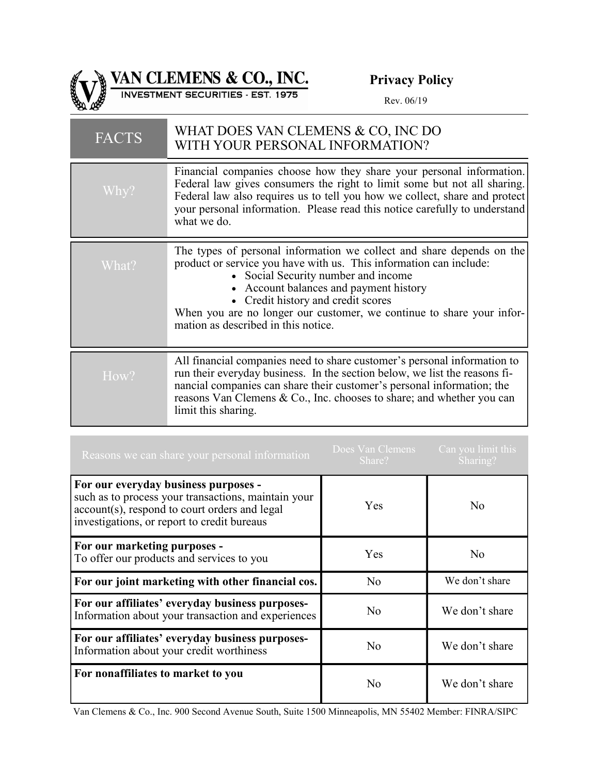

VAN CLEMENS & CO., INC.

**Privacy Policy**

| <b>FACTS</b> | WHAT DOES VAN CLEMENS & CO, INC DO<br>WITH YOUR PERSONAL INFORMATION?                                                                                                                                                                                                                                                                                                              |
|--------------|------------------------------------------------------------------------------------------------------------------------------------------------------------------------------------------------------------------------------------------------------------------------------------------------------------------------------------------------------------------------------------|
| Why?         | Financial companies choose how they share your personal information.<br>Federal law gives consumers the right to limit some but not all sharing.<br>Federal law also requires us to tell you how we collect, share and protect<br>your personal information. Please read this notice carefully to understand<br>what we do.                                                        |
| What?        | The types of personal information we collect and share depends on the<br>product or service you have with us. This information can include:<br>• Social Security number and income<br>• Account balances and payment history<br>• Credit history and credit scores<br>When you are no longer our customer, we continue to share your infor-<br>mation as described in this notice. |
| How?         | All financial companies need to share customer's personal information to<br>run their everyday business. In the section below, we list the reasons fi-<br>nancial companies can share their customer's personal information; the<br>reasons Van Clemens & Co., Inc. chooses to share; and whether you can<br>limit this sharing.                                                   |

| Reasons we can share your personal information                                                                                                                                              | Does Van Clemens<br>Share? | Can you limit this<br>Sharing? |
|---------------------------------------------------------------------------------------------------------------------------------------------------------------------------------------------|----------------------------|--------------------------------|
| For our everyday business purposes -<br>such as to process your transactions, maintain your<br>account(s), respond to court orders and legal<br>investigations, or report to credit bureaus | Yes                        | N <sub>o</sub>                 |
| For our marketing purposes -<br>To offer our products and services to you                                                                                                                   | Yes                        | N <sub>o</sub>                 |
| For our joint marketing with other financial cos.                                                                                                                                           | N <sub>o</sub>             | We don't share                 |
| For our affiliates' everyday business purposes-<br>Information about your transaction and experiences                                                                                       | No.                        | We don't share                 |
| For our affiliates' everyday business purposes-<br>Information about your credit worthiness                                                                                                 | N <sub>0</sub>             | We don't share                 |
| For nonaffiliates to market to you                                                                                                                                                          | No                         | We don't share                 |

Van Clemens & Co., Inc. 900 Second Avenue South, Suite 1500 Minneapolis, MN 55402 Member: FINRA/SIPC